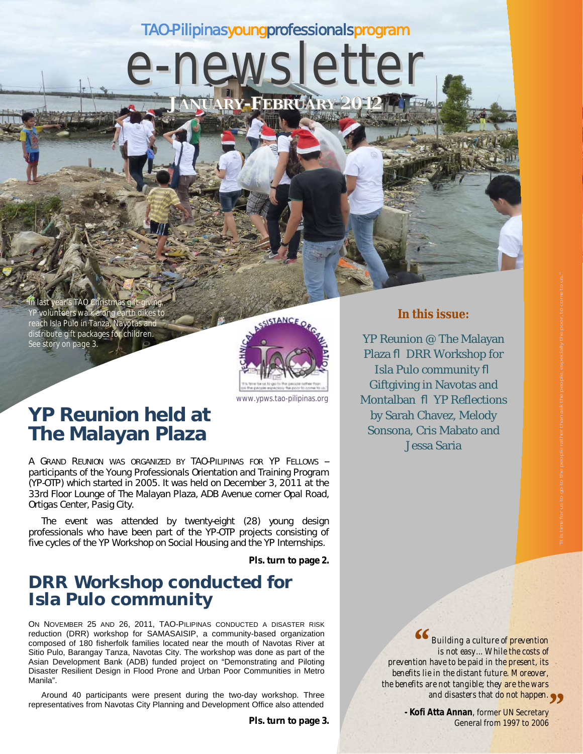### TAO-Pilipinasyoungprofessionalsprogram

e-newsletter

**JANUARY-FEBRUARY 2012** 

In last year's TAO Christmas gift-giving, YP volunteers walk along earth dikes to reach Isla Pulo in Tanza, Nayotas and distribute gift packages for children. *See story on page 3.*



www.ypws.tao-pilipinas.org

## **YP Reunion held at The Malayan Plaza**

A GRAND REUNION WAS ORGANIZED BY TAO-PILIPINAS FOR YP FELLOWS - participants of the Young Professionals Orientation and Training Program (YP-OTP) which started in 2005. It was held on December 3, 2011 at the 33rd Floor Lounge of The Malayan Plaza, ADB Avenue corner Opal Road, Ortigas Center, Pasig City.

The event was attended by twenty-eight (28) young design professionals who have been part of the YP-OTP projects consisting of five cycles of the YP Workshop on Social Housing and the YP Internships.

**Pls. turn to page 2.**

### **DRR Workshop conducted for Isla Pulo community**

ON NOVEMBER 25 AND 26, 2011, TAO-PILIPINAS CONDUCTED A DISASTER RISK reduction (DRR) workshop for SAMASAISIP, a community-based organization composed of 180 fisherfolk families located near the mouth of Navotas River at Sitio Pulo, Barangay Tanza, Navotas City. The workshop was done as part of the Asian Development Bank (ADB) funded project on "Demonstrating and Piloting Disaster Resilient Design in Flood Prone and Urban Poor Communities in Metro Manila".

Around 40 participants were present during the two-day workshop. Three representatives from Navotas City Planning and Development Office also attended

#### **In this issue:**

YP Reunion @ The Malayan Plaza ß DRR Workshop for Isla Pulo community ß Giftgiving in Navotas and Montalban ß YP Reflections by Sarah Chavez, Melody Sonsona, Cris Mabato and Jessa Saria

> *Building a culture of prevention is not easy... While the costs of prevention have to be paid in the present, its benefits lie in the distant future. Moreover, the benefits are not tangible; they are the wars "*

and disasters that d<mark>o not happen.<br>**Atta Annan**, former UN Secretary<br>Ceneral from 1997 to 2006</mark> **- Kofi Atta Annan**, former UN Secretary General from 1997 to 2006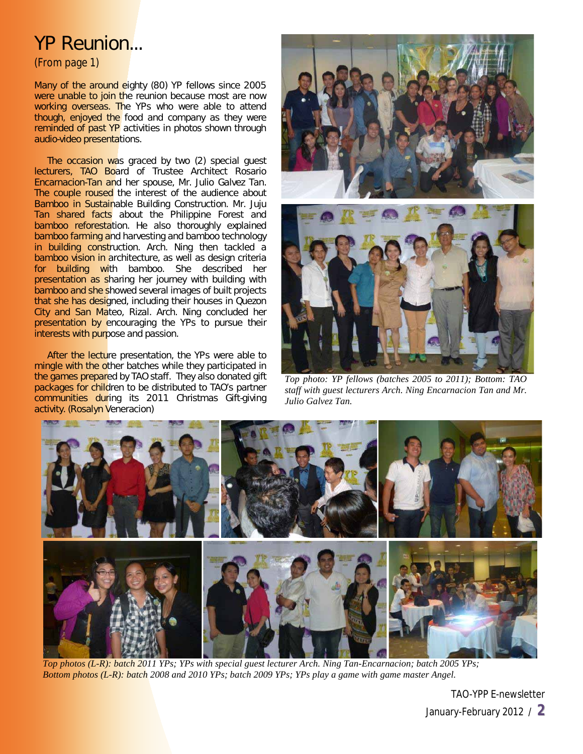## YP Reunion...

(From page 1)

Many of the around eighty (80) YP fellows since 2005 were unable to join the reunion because most are now working overseas. The YPs who were able to attend though, enjoyed the food and company as they were reminded of past YP activities in photos shown through audio-video presentations.

The occasion was graced by two (2) special guest lecturers, TAO Board of Trustee Architect Rosario Encarnacion-Tan and her spouse, Mr. Julio Galvez Tan. The couple roused the interest of the audience about *Bamboo in Sustainable Building Construction*. Mr. Juju Tan shared facts about the Philippine Forest and bamboo reforestation. He also thoroughly explained bamboo farming and harvesting and bamboo technology in building construction. Arch. Ning then tackled a bamboo vision in architecture, as well as design criteria for building with bamboo. She described her presentation as sharing her journey with building with bamboo and she showed several images of built projects that she has designed, including their houses in Quezon City and San Mateo, Rizal. Arch. Ning concluded her presentation by encouraging the YPs to pursue their interests with purpose and passion.

After the lecture presentation, the YPs were able to mingle with the other batches while they participated in the games prepared by TAO staff. They also donated gift packages for children to be distributed to TAO's partner communities during its 2011 Christmas Gift-giving activity. *(Rosalyn Veneracion)*



*Top photo: YP fellows (batches 2005 to 2011); Bottom: TAO staff with guest lecturers Arch. Ning Encarnacion Tan and Mr. Julio Galvez Tan.*



*Top photos (L-R): batch 2011 YPs; YPs with special guest lecturer Arch. Ning Tan-Encarnacion; batch 2005 YPs; Bottom photos (L-R): batch 2008 and 2010 YPs; batch 2009 YPs; YPs play a game with game master Angel.*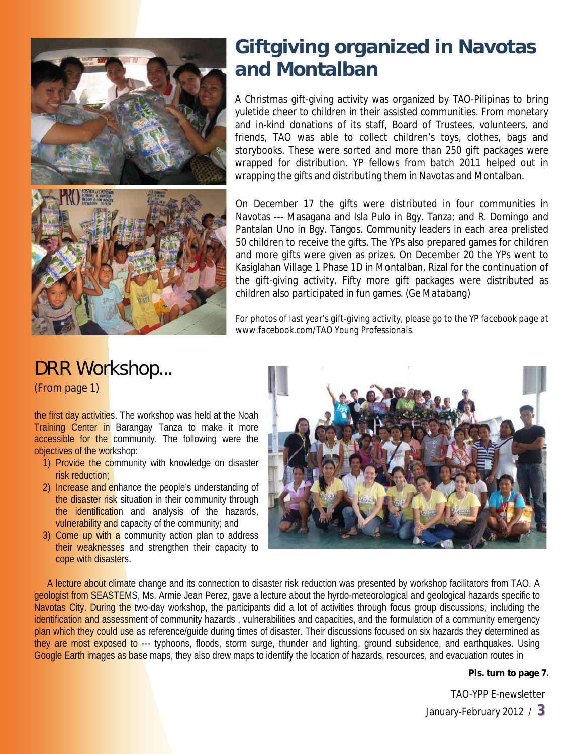

# **Giftgiving organized in Navotas and Montalban**

A Christmas gift-giving activity was organized by TAO-Pilipinas to bring yuletide cheer to children in their assisted communities. From monetary and in-kind donations of its staff, Board of Trustees, volunteers, and friends, TAO was able to collect children's toys, clothes, bags and storybooks. These were sorted and more than 250 gift packages were wrapped for distribution. YP fellows from batch 2011 helped out in wrapping the gifts and distributing them in Navotas and Montalban.

On December 17 the gifts were distributed in four communities in Navotas --- Masagana and Isla Pulo in Bgy. Tanza; and R. Domingo and Pantalan Uno in Bgy. Tangos. Community leaders in each area prelisted 50 children to receive the gifts. The YPs also prepared games for children and more gifts were given as prizes. On December 20 the YPs went to Kasiglahan Village 1 Phase 1D in Montalban, Rizal for the continuation of the gift-giving activity. Fifty more gift packages were distributed as children also participated in fun games. *(Ge Matabang)*

*For photos of last year's gift-giving activity, please go to the YP facebook page at www.facebook.com/TAO Young Professionals.* 

# DRR Workshop...

(From page 1)

the first day activities. The workshop was held at the Noah Training Center in Barangay Tanza to make it more accessible for the community. The following were the objectives of the workshop:

- 1) Provide the community with knowledge on disaster risk reduction;
- 2) Increase and enhance the people's understanding of the disaster risk situation in their community through the identification and analysis of the hazards, vulnerability and capacity of the community; and
- 3) Come up with a community action plan to address their weaknesses and strengthen their capacity to cope with disasters.



A lecture about climate change and its connection to disaster risk reduction was presented by workshop facilitators from TAO. A geologist from SEASTEMS, Ms. Armie Jean Perez, gave a lecture about the hyrdo-meteorological and geological hazards specific to Navotas City. During the two-day workshop, the participants did a lot of activities through focus group discussions, including the identification and assessment of community hazards, vulnerabilities and capacities, and the formulation of a community emergency plan which they could use as reference/quide during times of disaster. Their discussions focused on six hazards they determined as they are most exposed to --- typhoons, floods, storm surge, thunder and lighting, ground subsidence, and earthquakes. Using Google Earth images as base maps, they also drew maps to identify the location of hazards, resources, and evacuation routes in

#### **Pls. turn to page 7.**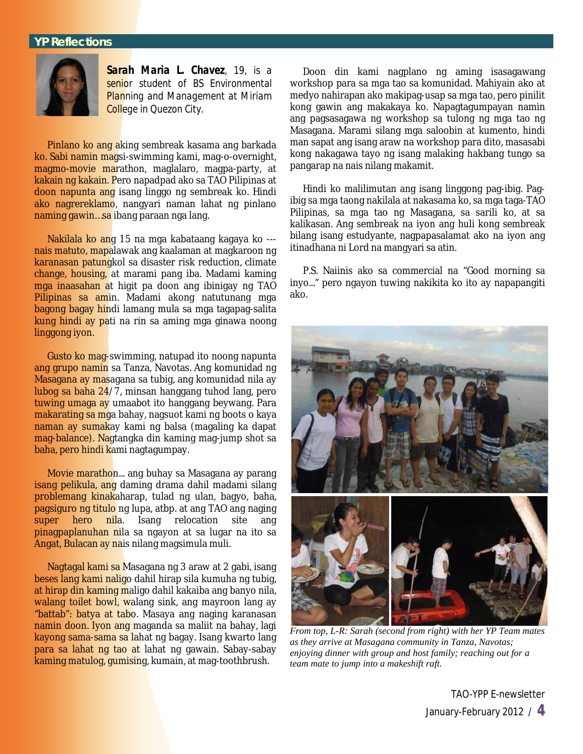

*Sarah Maria L. Chavez, 19, is a senior student of BS Environmental Planning and Management at Miriam College in Quezon City.*

Pinlano ko ang aking sembreak kasama ang barkada ko. Sabi namin magsi-swimming kami, mag-o-overnight, magmo-movie marathon, maglalaro, magpa-party, at kakain ng kakain. Pero napadpad ako sa TAO Pilipinas at doon napunta ang isang linggo ng sembreak ko. Hindi ako nagrereklamo, nangyari naman lahat ng pinlano naming gawin…sa ibang paraan nga lang.

Nakilala ko ang 15 na mga kabataang kagaya ko -- nais matuto, mapalawak ang kaalaman at magkaroon ng karanasan patungkol sa disaster risk reduction, climate change, housing, at marami pang iba. Madami kaming mga inaasahan at higit pa doon ang ibinigay ng TAO Pilipinas sa amin. Madami akong natutunang mga bagong bagay hindi lamang mula sa mga tagapag-salita kung hindi ay pati na rin sa aming mga ginawa noong linggong iyon.

Gusto ko mag-swimming, natupad ito noong napunta ang grupo namin sa Tanza, Navotas. Ang komunidad ng Masagana ay masagana sa tubig, ang komunidad nila ay lubog sa baha 24/7, minsan hanggang tuhod lang, pero tuwing umaga ay umaabot ito hanggang beywang. Para makarating sa mga bahay, nagsuot kami ng boots o kaya naman ay sumakay kami ng balsa (magaling ka dapat mag-balance). Nagtangka din kaming mag-jump shot sa baha, pero hindi kami nagtagumpay.

Movie marathon... ang buhay sa Masagana ay parang isang pelikula, ang daming drama dahil madami silang problemang kinakaharap, tulad ng ulan, bagyo, baha, **pagsiguro ng titulo** ng lupa, atbp. at ang TAO ang naging<br>super hero nila. Isang relocation site ang nila. Isang relocation site pinagpaplanuhan nila sa ngayon at sa lugar na ito sa Angat, Bulacan ay nais nilang magsimula muli.

Nagtagal kami sa Masagana ng 3 araw at 2 gabi, isang beses lang kami naligo dahil hirap sila kumuha ng tubig, at hirap din kaming maligo dahil kakaiba ang banyo nila, walang toilet bowl, walang sink, ang mayroon lang ay "battab": batya at tabo. Masaya ang naging karanasan namin doon. Iyon ang maganda sa maliit na bahay, lagi kayong sama-sama sa lahat ng bagay. Isang kwarto lang para sa lahat ng tao at lahat ng gawain. Sabay-sabay kaming matulog, gumising, kumain, at mag-toothbrush.

Doon din kami nagplano ng aming isasagawang workshop para sa mga tao sa komunidad. Mahiyain ako at medyo nahirapan ako makipag-usap sa mga tao, pero pinilit kong gawin ang makakaya ko. Napagtagumpayan namin ang pagsasagawa ng workshop sa tulong ng mga tao ng Masagana. Marami silang mga saloobin at kumento, hindi man sapat ang isang araw na workshop para dito, masasabi kong nakagawa tayo ng isang malaking hakbang tungo sa pangarap na nais nilang makamit.

Hindi ko malilimutan ang isang linggong pag-ibig. Pagibig sa mga taong nakilala at nakasama ko, sa mga taga-TAO Pilipinas, sa mga tao ng Masagana, sa sarili ko, at sa kalikasan. Ang sembreak na iyon ang huli kong sembreak bilang isang estudyante, nagpapasalamat ako na iyon ang itinadhana ni Lord na mangyari sa atin.

P.S. Naiinis ako sa commercial na "Good morning sa inyo..." pero ngayon tuwing nakikita ko ito ay napapangiti ako.



*From top, L-R: Sarah (second from right) with her YP Team mates as they arrive at Masagana community in Tanza, Navotas; enjoying dinner with group and host family; reaching out for a team mate to jump into a makeshift raft.*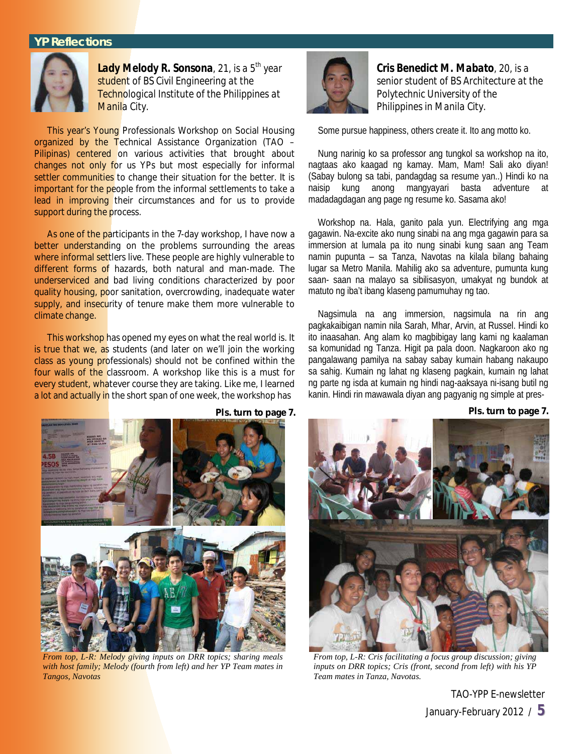

*Lady Melody R. Sonsona, 21, is a 5th year student of BS Civil Engineering at the Technological Institute of the Philippines at Manila City.*

This year's Young Professionals Workshop on Social Housing organized by the Technical Assistance Organization (TAO – Pilipinas) centered on various activities that brought about changes not only for us YPs but most especially for informal settler communities to change their situation for the better. It is important for the people from the informal settlements to take a lead in improving their circumstances and for us to provide support during the process.

As one of the participants in the 7-day workshop, I have now a better understanding on the problems surrounding the areas where informal settlers live. These people are highly vulnerable to different forms of hazards, both natural and man-made. The underserviced and bad living conditions characterized by poor quality housing, poor sanitation, overcrowding, inadequate water supply, and insecurity of tenure make them more vulnerable to climate change.

This workshop has opened my eyes on what the real world is. It is true that we, as students (and later on we'll join the working class as young professionals) should not be confined within the four walls of the classroom. A workshop like this is a must for every student, whatever course they are taking. Like me, I learned a lot and actually in the short span of one week, the workshop has



*Cris Benedict M. Mabato, 20, is a senior student of BS Architecture at the Polytechnic University of the Philippines in Manila City.* 

Some pursue happiness, others create it. Ito ang motto ko.

Nung narinig ko sa professor ang tungkol sa workshop na ito, nagtaas ako kaagad ng kamay. Mam, Mam! Sali ako diyan! (Sabay bulong sa tabi, pandagdag sa resume yan..) Hindi ko na naisip kung anong mangyayari basta adventure at madadagdagan ang page ng resume ko. Sasama ako!

Workshop na. Hala, ganito pala yun. Electrifying ang mga gagawin. Na-excite ako nung sinabi na ang mga gagawin para sa immersion at lumala pa ito nung sinabi kung saan ang Team namin pupunta – sa Tanza, Navotas na kilala bilang bahaing lugar sa Metro Manila. Mahilig ako sa adventure, pumunta kung saan- saan na malayo sa sibilisasyon, umakyat ng bundok at matuto ng iba't ibang klaseng pamumuhay ng tao.

Nagsimula na ang immersion, nagsimula na rin ang pagkakaibigan namin nila Sarah, Mhar, Arvin, at Russel. Hindi ko ito inaasahan. Ang alam ko magbibigay lang kami ng kaalaman sa komunidad ng Tanza. Higit pa pala doon. Nagkaroon ako ng pangalawang pamilya na sabay sabay kumain habang nakaupo sa sahig. Kumain ng lahat ng klaseng pagkain, kumain ng lahat ng parte ng isda at kumain ng hindi nag-aaksaya ni-isang butil ng kanin. Hindi rin mawawala diyan ang pagyanig ng simple at pres-

**Pls. turn to page 7.**



*From top, L-R: Melody giving inputs on DRR topics; sharing meals with host family; Melody (fourth from left) and her YP Team mates in Tangos, Navotas*

*From top, L-R: Cris facilitating a focus group discussion; giving inputs on DRR topics; Cris (front, second from left) with his YP Team mates in Tanza, Navotas.*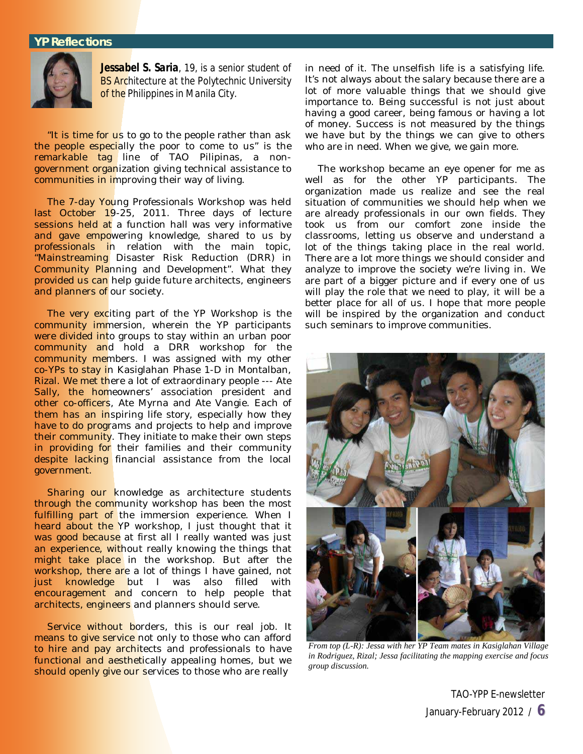

*Jessabel S. Saria, 19, is a senior student of BS Architecture at the Polytechnic University of the Philippines in Manila City.*

"It is time for us to go to the people rather than ask the people especially the poor to come to us" is the remarkable tag line of TAO Pilipinas, a nongovernment organization giving technical assistance to communities in improving their way of living.

The 7-day Young Professionals Workshop was held last October 19-25, 2011. Three days of lecture sessions held at a function hall was very informative <mark>and gave empo</mark>wering knowledge, shared to us by <mark>professionals i</mark>n relation with the main topic, "Mainstreaming Disaster Risk Reduction (DRR) in Community Planning and Development". What they provided us can help guide future architects, engineers and planners of our society.

The very exciting part of the YP Workshop is the community immersion, wherein the YP participants were divided into groups to stay within an urban poor community and hold a DRR workshop for the community members. I was assigned with my other co-YPs to stay in Kasiglahan Phase 1-D in Montalban, Rizal. We met there a lot of extraordinary people --- Ate Sally, the homeowners' association president and other co-officers, Ate Myrna and Ate Vangie. Each of them has an inspiring life story, especially how they have to do programs and projects to help and improve their community. They initiate to make their own steps in providing for their families and their community despite lacking financial assistance from the local government.

Sharing our knowledge as architecture students through the community workshop has been the most fulfilling part of the immersion experience. When I heard about the YP workshop, I just thought that it was good because at first all I really wanted was just an experience, without really knowing the things that might take place in the workshop. But after the workshop, there are a lot of things I have gained, not just knowledge but I was also filled with encouragement and concern to help people that architects, engineers and planners should serve.

Service without borders, this is our real job. It means to give service not only to those who can afford to hire and pay architects and professionals to have functional and aesthetically appealing homes, but we should openly give our services to those who are really

in need of it. The unselfish life is a satisfying life. It's not always about the salary because there are a lot of more valuable things that we should give importance to. Being successful is not just about having a good career, being famous or having a lot of money. Success is not measured by the things we have but by the things we can give to others who are in need. When we give, we gain more.

The workshop became an eye opener for me as well as for the other YP participants. The organization made us realize and see the real situation of communities we should help when we are already professionals in our own fields. They took us from our comfort zone inside the classrooms, letting us observe and understand a lot of the things taking place in the real world. There are a lot more things we should consider and analyze to improve the society we're living in. We are part of a bigger picture and if every one of us will play the role that we need to play, it will be a better place for all of us. I hope that more people will be inspired by the organization and conduct such seminars to improve communities.



*From top (L-R): Jessa with her YP Team mates in Kasiglahan Village in Rodriguez, Rizal; Jessa facilitating the mapping exercise and focus group discussion.*